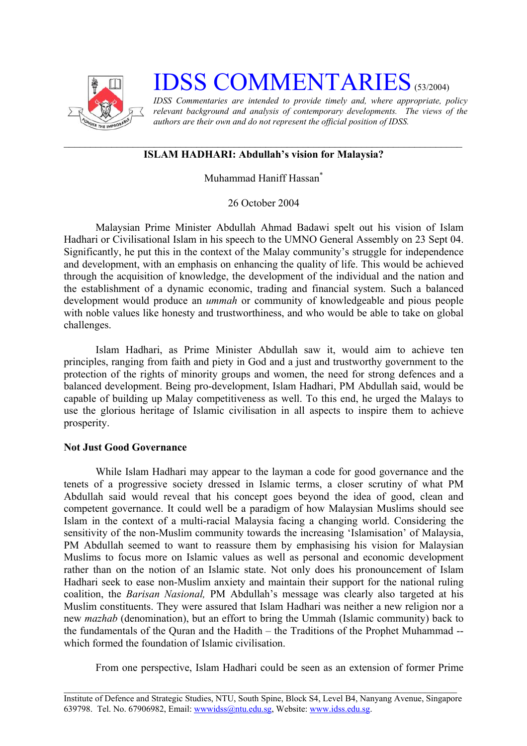

## **IDSS COMMENTARIES** (53/2004)

*IDSS Commentaries are intended to provide timely and, where appropriate, policy relevant background and analysis of contemporary developments. The views of the authors are their own and do not represent the official position of IDSS.* 

## **ISLAM HADHARI: Abdullah's vision for Malaysia?**

Muhammad Haniff Hassan<sup>\*</sup>

26 October 2004

Malaysian Prime Minister Abdullah Ahmad Badawi spelt out his vision of Islam Hadhari or Civilisational Islam in his speech to the UMNO General Assembly on 23 Sept 04. Significantly, he put this in the context of the Malay community's struggle for independence and development, with an emphasis on enhancing the quality of life. This would be achieved through the acquisition of knowledge, the development of the individual and the nation and the establishment of a dynamic economic, trading and financial system. Such a balanced development would produce an *ummah* or community of knowledgeable and pious people with noble values like honesty and trustworthiness, and who would be able to take on global challenges.

Islam Hadhari, as Prime Minister Abdullah saw it, would aim to achieve ten principles, ranging from faith and piety in God and a just and trustworthy government to the protection of the rights of minority groups and women, the need for strong defences and a balanced development. Being pro-development, Islam Hadhari, PM Abdullah said, would be capable of building up Malay competitiveness as well. To this end, he urged the Malays to use the glorious heritage of Islamic civilisation in all aspects to inspire them to achieve prosperity.

## **Not Just Good Governance**

While Islam Hadhari may appear to the layman a code for good governance and the tenets of a progressive society dressed in Islamic terms, a closer scrutiny of what PM Abdullah said would reveal that his concept goes beyond the idea of good, clean and competent governance. It could well be a paradigm of how Malaysian Muslims should see Islam in the context of a multi-racial Malaysia facing a changing world. Considering the sensitivity of the non-Muslim community towards the increasing 'Islamisation' of Malaysia, PM Abdullah seemed to want to reassure them by emphasising his vision for Malaysian Muslims to focus more on Islamic values as well as personal and economic development rather than on the notion of an Islamic state. Not only does his pronouncement of Islam Hadhari seek to ease non-Muslim anxiety and maintain their support for the national ruling coalition, the *Barisan Nasional,* PM Abdullah's message was clearly also targeted at his Muslim constituents. They were assured that Islam Hadhari was neither a new religion nor a new *mazhab* (denomination), but an effort to bring the Ummah (Islamic community) back to the fundamentals of the Quran and the Hadith – the Traditions of the Prophet Muhammad - which formed the foundation of Islamic civilisation.

From one perspective, Islam Hadhari could be seen as an extension of former Prime